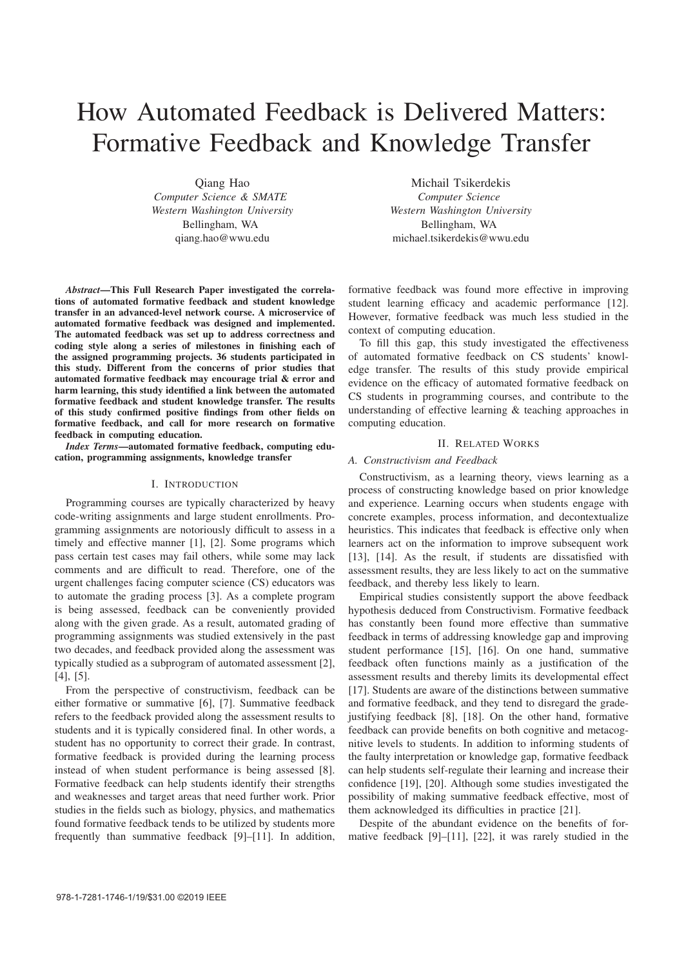# How Automated Feedback is Delivered Matters: Formative Feedback and Knowledge Transfer

Qiang Hao *Computer Science & SMATE Western Washington University* Bellingham, WA qiang.hao@wwu.edu

*Abstract*—This Full Research Paper investigated the correlations of automated formative feedback and student knowledge transfer in an advanced-level network course. A microservice of automated formative feedback was designed and implemented. The automated feedback was set up to address correctness and coding style along a series of milestones in finishing each of the assigned programming projects. 36 students participated in this study. Different from the concerns of prior studies that automated formative feedback may encourage trial & error and harm learning, this study identified a link between the automated formative feedback and student knowledge transfer. The results of this study confirmed positive findings from other fields on formative feedback, and call for more research on formative feedback in computing education.

*Index Terms*—automated formative feedback, computing education, programming assignments, knowledge transfer

## I. INTRODUCTION

Programming courses are typically characterized by heavy code-writing assignments and large student enrollments. Programming assignments are notoriously difficult to assess in a timely and effective manner [1], [2]. Some programs which pass certain test cases may fail others, while some may lack comments and are difficult to read. Therefore, one of the urgent challenges facing computer science (CS) educators was to automate the grading process [3]. As a complete program is being assessed, feedback can be conveniently provided along with the given grade. As a result, automated grading of programming assignments was studied extensively in the past two decades, and feedback provided along the assessment was typically studied as a subprogram of automated assessment [2], [4], [5].

From the perspective of constructivism, feedback can be either formative or summative [6], [7]. Summative feedback refers to the feedback provided along the assessment results to students and it is typically considered final. In other words, a student has no opportunity to correct their grade. In contrast, formative feedback is provided during the learning process instead of when student performance is being assessed [8]. Formative feedback can help students identify their strengths and weaknesses and target areas that need further work. Prior studies in the fields such as biology, physics, and mathematics found formative feedback tends to be utilized by students more frequently than summative feedback [9]–[11]. In addition,

Michail Tsikerdekis *Computer Science Western Washington University* Bellingham, WA michael.tsikerdekis@wwu.edu

formative feedback was found more effective in improving student learning efficacy and academic performance [12]. However, formative feedback was much less studied in the context of computing education.

To fill this gap, this study investigated the effectiveness of automated formative feedback on CS students' knowledge transfer. The results of this study provide empirical evidence on the efficacy of automated formative feedback on CS students in programming courses, and contribute to the understanding of effective learning & teaching approaches in computing education.

## II. RELATED WORKS

## *A. Constructivism and Feedback*

Constructivism, as a learning theory, views learning as a process of constructing knowledge based on prior knowledge and experience. Learning occurs when students engage with concrete examples, process information, and decontextualize heuristics. This indicates that feedback is effective only when learners act on the information to improve subsequent work [13], [14]. As the result, if students are dissatisfied with assessment results, they are less likely to act on the summative feedback, and thereby less likely to learn.

Empirical studies consistently support the above feedback hypothesis deduced from Constructivism. Formative feedback has constantly been found more effective than summative feedback in terms of addressing knowledge gap and improving student performance [15], [16]. On one hand, summative feedback often functions mainly as a justification of the assessment results and thereby limits its developmental effect [17]. Students are aware of the distinctions between summative and formative feedback, and they tend to disregard the gradejustifying feedback [8], [18]. On the other hand, formative feedback can provide benefits on both cognitive and metacognitive levels to students. In addition to informing students of the faulty interpretation or knowledge gap, formative feedback can help students self-regulate their learning and increase their confidence [19], [20]. Although some studies investigated the possibility of making summative feedback effective, most of them acknowledged its difficulties in practice [21].

Despite of the abundant evidence on the benefits of formative feedback [9]–[11], [22], it was rarely studied in the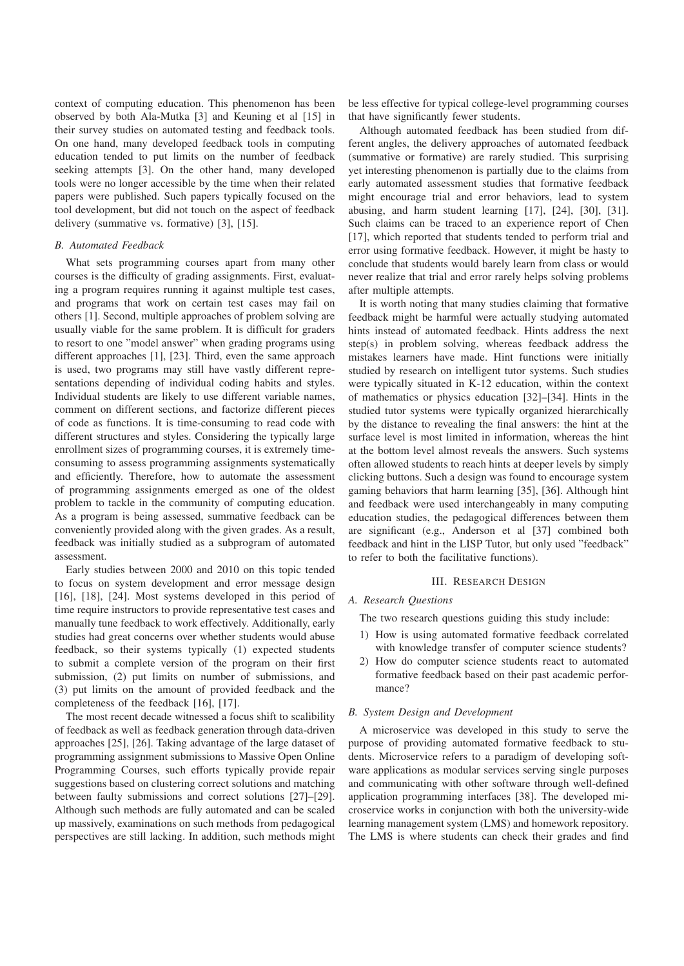context of computing education. This phenomenon has been observed by both Ala-Mutka [3] and Keuning et al [15] in their survey studies on automated testing and feedback tools. On one hand, many developed feedback tools in computing education tended to put limits on the number of feedback seeking attempts [3]. On the other hand, many developed tools were no longer accessible by the time when their related papers were published. Such papers typically focused on the tool development, but did not touch on the aspect of feedback delivery (summative vs. formative) [3], [15].

#### *B. Automated Feedback*

What sets programming courses apart from many other courses is the difficulty of grading assignments. First, evaluating a program requires running it against multiple test cases, and programs that work on certain test cases may fail on others [1]. Second, multiple approaches of problem solving are usually viable for the same problem. It is difficult for graders to resort to one "model answer" when grading programs using different approaches [1], [23]. Third, even the same approach is used, two programs may still have vastly different representations depending of individual coding habits and styles. Individual students are likely to use different variable names, comment on different sections, and factorize different pieces of code as functions. It is time-consuming to read code with different structures and styles. Considering the typically large enrollment sizes of programming courses, it is extremely timeconsuming to assess programming assignments systematically and efficiently. Therefore, how to automate the assessment of programming assignments emerged as one of the oldest problem to tackle in the community of computing education. As a program is being assessed, summative feedback can be conveniently provided along with the given grades. As a result, feedback was initially studied as a subprogram of automated assessment.

Early studies between 2000 and 2010 on this topic tended to focus on system development and error message design [16], [18], [24]. Most systems developed in this period of time require instructors to provide representative test cases and manually tune feedback to work effectively. Additionally, early studies had great concerns over whether students would abuse feedback, so their systems typically (1) expected students to submit a complete version of the program on their first submission, (2) put limits on number of submissions, and (3) put limits on the amount of provided feedback and the completeness of the feedback [16], [17].

The most recent decade witnessed a focus shift to scalibility of feedback as well as feedback generation through data-driven approaches [25], [26]. Taking advantage of the large dataset of programming assignment submissions to Massive Open Online Programming Courses, such efforts typically provide repair suggestions based on clustering correct solutions and matching between faulty submissions and correct solutions [27]–[29]. Although such methods are fully automated and can be scaled up massively, examinations on such methods from pedagogical perspectives are still lacking. In addition, such methods might be less effective for typical college-level programming courses that have significantly fewer students.

Although automated feedback has been studied from different angles, the delivery approaches of automated feedback (summative or formative) are rarely studied. This surprising yet interesting phenomenon is partially due to the claims from early automated assessment studies that formative feedback might encourage trial and error behaviors, lead to system abusing, and harm student learning [17], [24], [30], [31]. Such claims can be traced to an experience report of Chen [17], which reported that students tended to perform trial and error using formative feedback. However, it might be hasty to conclude that students would barely learn from class or would never realize that trial and error rarely helps solving problems after multiple attempts.

It is worth noting that many studies claiming that formative feedback might be harmful were actually studying automated hints instead of automated feedback. Hints address the next step(s) in problem solving, whereas feedback address the mistakes learners have made. Hint functions were initially studied by research on intelligent tutor systems. Such studies were typically situated in K-12 education, within the context of mathematics or physics education [32]–[34]. Hints in the studied tutor systems were typically organized hierarchically by the distance to revealing the final answers: the hint at the surface level is most limited in information, whereas the hint at the bottom level almost reveals the answers. Such systems often allowed students to reach hints at deeper levels by simply clicking buttons. Such a design was found to encourage system gaming behaviors that harm learning [35], [36]. Although hint and feedback were used interchangeably in many computing education studies, the pedagogical differences between them are significant (e.g., Anderson et al [37] combined both feedback and hint in the LISP Tutor, but only used "feedback" to refer to both the facilitative functions).

#### III. RESEARCH DESIGN

#### *A. Research Questions*

The two research questions guiding this study include:

- 1) How is using automated formative feedback correlated with knowledge transfer of computer science students?
- 2) How do computer science students react to automated formative feedback based on their past academic performance?

## *B. System Design and Development*

A microservice was developed in this study to serve the purpose of providing automated formative feedback to students. Microservice refers to a paradigm of developing software applications as modular services serving single purposes and communicating with other software through well-defined application programming interfaces [38]. The developed microservice works in conjunction with both the university-wide learning management system (LMS) and homework repository. The LMS is where students can check their grades and find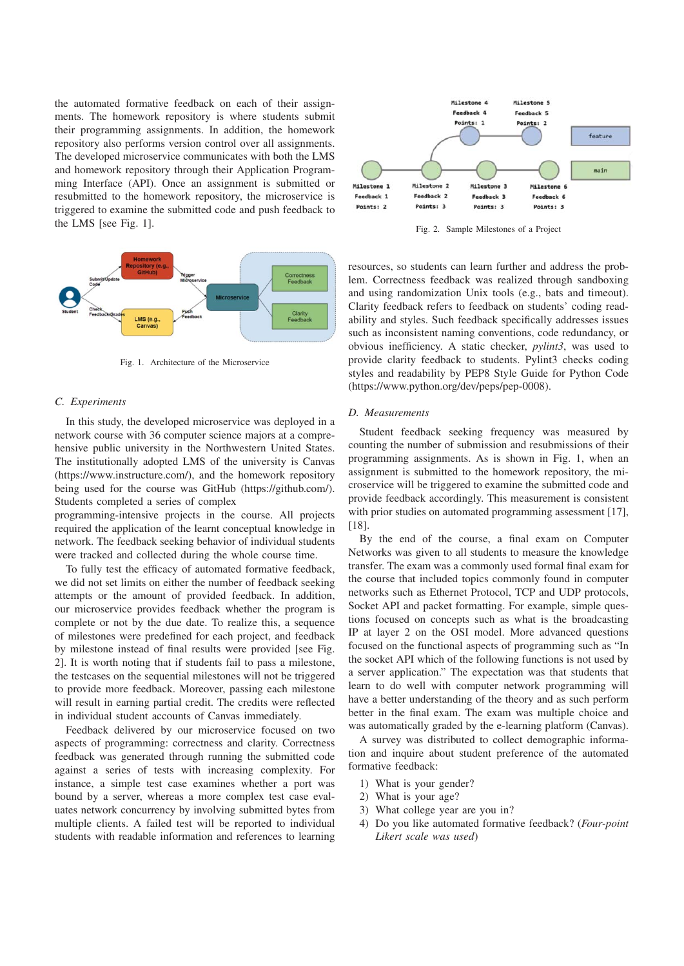the automated formative feedback on each of their assignments. The homework repository is where students submit their programming assignments. In addition, the homework repository also performs version control over all assignments. The developed microservice communicates with both the LMS and homework repository through their Application Programming Interface (API). Once an assignment is submitted or resubmitted to the homework repository, the microservice is triggered to examine the submitted code and push feedback to the LMS [see Fig. 1].



Fig. 1. Architecture of the Microservice

## *C. Experiments*

In this study, the developed microservice was deployed in a network course with 36 computer science majors at a comprehensive public university in the Northwestern United States. The institutionally adopted LMS of the university is Canvas (https://www.instructure.com/), and the homework repository being used for the course was GitHub (https://github.com/). Students completed a series of complex

programming-intensive projects in the course. All projects required the application of the learnt conceptual knowledge in network. The feedback seeking behavior of individual students were tracked and collected during the whole course time.

To fully test the efficacy of automated formative feedback, we did not set limits on either the number of feedback seeking attempts or the amount of provided feedback. In addition, our microservice provides feedback whether the program is complete or not by the due date. To realize this, a sequence of milestones were predefined for each project, and feedback by milestone instead of final results were provided [see Fig. 2]. It is worth noting that if students fail to pass a milestone, the testcases on the sequential milestones will not be triggered to provide more feedback. Moreover, passing each milestone will result in earning partial credit. The credits were reflected in individual student accounts of Canvas immediately.

Feedback delivered by our microservice focused on two aspects of programming: correctness and clarity. Correctness feedback was generated through running the submitted code against a series of tests with increasing complexity. For instance, a simple test case examines whether a port was bound by a server, whereas a more complex test case evaluates network concurrency by involving submitted bytes from multiple clients. A failed test will be reported to individual students with readable information and references to learning



Fig. 2. Sample Milestones of a Project

resources, so students can learn further and address the problem. Correctness feedback was realized through sandboxing and using randomization Unix tools (e.g., bats and timeout). Clarity feedback refers to feedback on students' coding readability and styles. Such feedback specifically addresses issues such as inconsistent naming conventions, code redundancy, or obvious inefficiency. A static checker, *pylint3*, was used to provide clarity feedback to students. Pylint3 checks coding styles and readability by PEP8 Style Guide for Python Code (https://www.python.org/dev/peps/pep-0008).

#### *D. Measurements*

Student feedback seeking frequency was measured by counting the number of submission and resubmissions of their programming assignments. As is shown in Fig. 1, when an assignment is submitted to the homework repository, the microservice will be triggered to examine the submitted code and provide feedback accordingly. This measurement is consistent with prior studies on automated programming assessment [17], [18].

By the end of the course, a final exam on Computer Networks was given to all students to measure the knowledge transfer. The exam was a commonly used formal final exam for the course that included topics commonly found in computer networks such as Ethernet Protocol, TCP and UDP protocols, Socket API and packet formatting. For example, simple questions focused on concepts such as what is the broadcasting IP at layer 2 on the OSI model. More advanced questions focused on the functional aspects of programming such as "In the socket API which of the following functions is not used by a server application." The expectation was that students that learn to do well with computer network programming will have a better understanding of the theory and as such perform better in the final exam. The exam was multiple choice and was automatically graded by the e-learning platform (Canvas).

A survey was distributed to collect demographic information and inquire about student preference of the automated formative feedback:

- 1) What is your gender?
- 2) What is your age?
- 3) What college year are you in?
- 4) Do you like automated formative feedback? (*Four-point Likert scale was used*)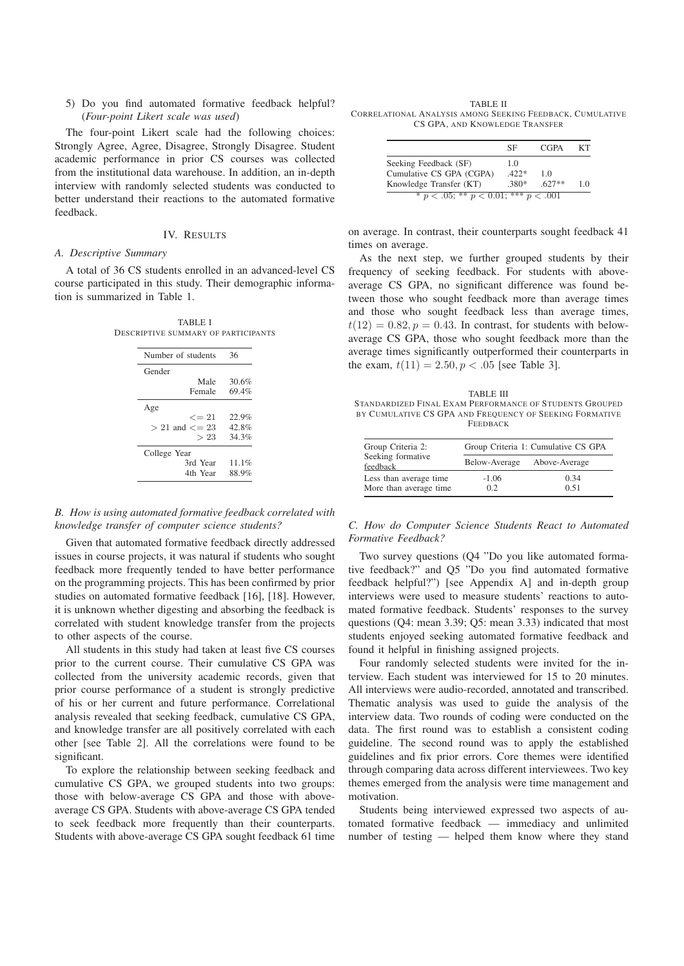5) Do you find automated formative feedback helpful? (*Four-point Likert scale was used*)

The four-point Likert scale had the following choices: Strongly Agree, Agree, Disagree, Strongly Disagree. Student academic performance in prior CS courses was collected from the institutional data warehouse. In addition, an in-depth interview with randomly selected students was conducted to better understand their reactions to the automated formative feedback.

## IV. RESULTS

#### *A. Descriptive Summary*

A total of 36 CS students enrolled in an advanced-level CS course participated in this study. Their demographic information is summarized in Table 1.

| <b>TABLE I</b>                      |
|-------------------------------------|
| DESCRIPTIVE SUMMARY OF PARTICIPANTS |

| Number of students     | 36       |
|------------------------|----------|
| Gender                 |          |
| Male                   | 30.6%    |
| Female                 | 69.4%    |
| Age                    |          |
| $\epsilon = 21$        | 22.9%    |
| $> 21$ and $\leq$ = 23 | $42.8\%$ |
| >23                    | 34.3%    |
| College Year           |          |
| 3rd Year               | 11.1%    |
|                        |          |

*B. How is using automated formative feedback correlated with knowledge transfer of computer science students?*

Given that automated formative feedback directly addressed issues in course projects, it was natural if students who sought feedback more frequently tended to have better performance on the programming projects. This has been confirmed by prior studies on automated formative feedback [16], [18]. However, it is unknown whether digesting and absorbing the feedback is correlated with student knowledge transfer from the projects to other aspects of the course.

All students in this study had taken at least five CS courses prior to the current course. Their cumulative CS GPA was collected from the university academic records, given that prior course performance of a student is strongly predictive of his or her current and future performance. Correlational analysis revealed that seeking feedback, cumulative CS GPA, and knowledge transfer are all positively correlated with each other [see Table 2]. All the correlations were found to be significant.

To explore the relationship between seeking feedback and cumulative CS GPA, we grouped students into two groups: those with below-average CS GPA and those with aboveaverage CS GPA. Students with above-average CS GPA tended to seek feedback more frequently than their counterparts. Students with above-average CS GPA sought feedback 61 time

TABLE II CORRELATIONAL ANALYSIS AMONG SEEKING FEEDBACK, CUMULATIVE CS GPA, AND KNOWLEDGE TRANSFER

|                                                                              | SF                   | CGPA          | KТ  |
|------------------------------------------------------------------------------|----------------------|---------------|-----|
| Seeking Feedback (SF)<br>Cumulative CS GPA (CGPA)<br>Knowledge Transfer (KT) | 10<br>$422*$<br>380* | 10<br>$627**$ | 1 ∩ |
| * $p < .05$ ; ** $p < 0.01$ ; *** $p < .001$                                 |                      |               |     |

on average. In contrast, their counterparts sought feedback 41 times on average.

As the next step, we further grouped students by their frequency of seeking feedback. For students with aboveaverage CS GPA, no significant difference was found between those who sought feedback more than average times and those who sought feedback less than average times,  $t(12) = 0.82, p = 0.43$ . In contrast, for students with belowaverage CS GPA, those who sought feedback more than the average times significantly outperformed their counterparts in the exam,  $t(11) = 2.50, p < .05$  [see Table 3].

TABLE III STANDARDIZED FINAL EXAM PERFORMANCE OF STUDENTS GROUPED BY CUMULATIVE CS GPA AND FREQUENCY OF SEEKING FORMATIVE **FEEDBACK** 

| Group Criteria 2:                                | Group Criteria 1: Cumulative CS GPA |               |  |
|--------------------------------------------------|-------------------------------------|---------------|--|
| Seeking formative<br>feedback                    | Below-Average                       | Above-Average |  |
| Less than average time<br>More than average time | $-1.06$<br>02                       | 0.34<br>0.51  |  |

*C. How do Computer Science Students React to Automated Formative Feedback?*

Two survey questions (Q4 "Do you like automated formative feedback?" and Q5 "Do you find automated formative feedback helpful?") [see Appendix A] and in-depth group interviews were used to measure students' reactions to automated formative feedback. Students' responses to the survey questions (Q4: mean 3.39; Q5: mean 3.33) indicated that most students enjoyed seeking automated formative feedback and found it helpful in finishing assigned projects.

Four randomly selected students were invited for the interview. Each student was interviewed for 15 to 20 minutes. All interviews were audio-recorded, annotated and transcribed. Thematic analysis was used to guide the analysis of the interview data. Two rounds of coding were conducted on the data. The first round was to establish a consistent coding guideline. The second round was to apply the established guidelines and fix prior errors. Core themes were identified through comparing data across different interviewees. Two key themes emerged from the analysis were time management and motivation.

Students being interviewed expressed two aspects of automated formative feedback — immediacy and unlimited number of testing — helped them know where they stand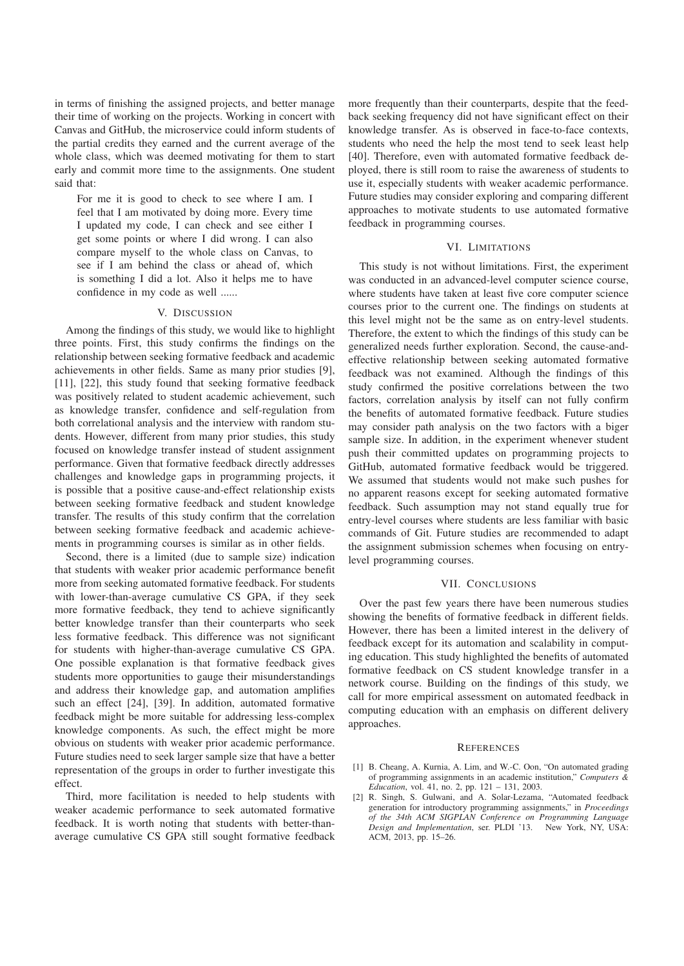in terms of finishing the assigned projects, and better manage their time of working on the projects. Working in concert with Canvas and GitHub, the microservice could inform students of the partial credits they earned and the current average of the whole class, which was deemed motivating for them to start early and commit more time to the assignments. One student said that:

For me it is good to check to see where I am. I feel that I am motivated by doing more. Every time I updated my code, I can check and see either I get some points or where I did wrong. I can also compare myself to the whole class on Canvas, to see if I am behind the class or ahead of, which is something I did a lot. Also it helps me to have confidence in my code as well ......

#### V. DISCUSSION

Among the findings of this study, we would like to highlight three points. First, this study confirms the findings on the relationship between seeking formative feedback and academic achievements in other fields. Same as many prior studies [9], [11], [22], this study found that seeking formative feedback was positively related to student academic achievement, such as knowledge transfer, confidence and self-regulation from both correlational analysis and the interview with random students. However, different from many prior studies, this study focused on knowledge transfer instead of student assignment performance. Given that formative feedback directly addresses challenges and knowledge gaps in programming projects, it is possible that a positive cause-and-effect relationship exists between seeking formative feedback and student knowledge transfer. The results of this study confirm that the correlation between seeking formative feedback and academic achievements in programming courses is similar as in other fields.

Second, there is a limited (due to sample size) indication that students with weaker prior academic performance benefit more from seeking automated formative feedback. For students with lower-than-average cumulative CS GPA, if they seek more formative feedback, they tend to achieve significantly better knowledge transfer than their counterparts who seek less formative feedback. This difference was not significant for students with higher-than-average cumulative CS GPA. One possible explanation is that formative feedback gives students more opportunities to gauge their misunderstandings and address their knowledge gap, and automation amplifies such an effect [24], [39]. In addition, automated formative feedback might be more suitable for addressing less-complex knowledge components. As such, the effect might be more obvious on students with weaker prior academic performance. Future studies need to seek larger sample size that have a better representation of the groups in order to further investigate this effect.

Third, more facilitation is needed to help students with weaker academic performance to seek automated formative feedback. It is worth noting that students with better-thanaverage cumulative CS GPA still sought formative feedback

more frequently than their counterparts, despite that the feedback seeking frequency did not have significant effect on their knowledge transfer. As is observed in face-to-face contexts, students who need the help the most tend to seek least help [40]. Therefore, even with automated formative feedback deployed, there is still room to raise the awareness of students to use it, especially students with weaker academic performance. Future studies may consider exploring and comparing different approaches to motivate students to use automated formative feedback in programming courses.

## VI. LIMITATIONS

This study is not without limitations. First, the experiment was conducted in an advanced-level computer science course, where students have taken at least five core computer science courses prior to the current one. The findings on students at this level might not be the same as on entry-level students. Therefore, the extent to which the findings of this study can be generalized needs further exploration. Second, the cause-andeffective relationship between seeking automated formative feedback was not examined. Although the findings of this study confirmed the positive correlations between the two factors, correlation analysis by itself can not fully confirm the benefits of automated formative feedback. Future studies may consider path analysis on the two factors with a biger sample size. In addition, in the experiment whenever student push their committed updates on programming projects to GitHub, automated formative feedback would be triggered. We assumed that students would not make such pushes for no apparent reasons except for seeking automated formative feedback. Such assumption may not stand equally true for entry-level courses where students are less familiar with basic commands of Git. Future studies are recommended to adapt the assignment submission schemes when focusing on entrylevel programming courses.

## VII. CONCLUSIONS

Over the past few years there have been numerous studies showing the benefits of formative feedback in different fields. However, there has been a limited interest in the delivery of feedback except for its automation and scalability in computing education. This study highlighted the benefits of automated formative feedback on CS student knowledge transfer in a network course. Building on the findings of this study, we call for more empirical assessment on automated feedback in computing education with an emphasis on different delivery approaches.

#### **REFERENCES**

- [1] B. Cheang, A. Kurnia, A. Lim, and W.-C. Oon, "On automated grading of programming assignments in an academic institution," *Computers & Education*, vol. 41, no. 2, pp. 121 – 131, 2003.
- [2] R. Singh, S. Gulwani, and A. Solar-Lezama, "Automated feedback generation for introductory programming assignments," in *Proceedings of the 34th ACM SIGPLAN Conference on Programming Language Design and Implementation*, ser. PLDI '13. New York, NY, USA: ACM, 2013, pp. 15–26.